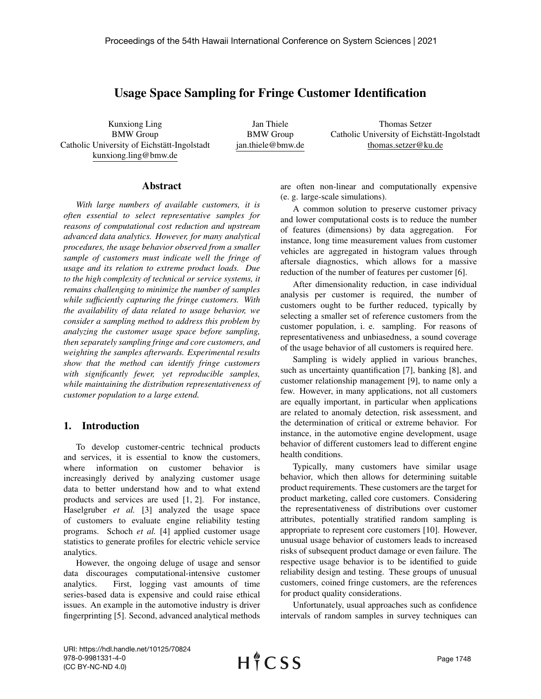# Usage Space Sampling for Fringe Customer Identification

Kunxiong Ling BMW Group Catholic University of Eichstätt-Ingolstadt kunxiong.ling@bmw.de

Jan Thiele BMW Group jan.thiele@bmw.de

Thomas Setzer Catholic University of Eichstätt-Ingolstadt thomas.setzer@ku.de

#### Abstract

*With large numbers of available customers, it is often essential to select representative samples for reasons of computational cost reduction and upstream advanced data analytics. However, for many analytical procedures, the usage behavior observed from a smaller sample of customers must indicate well the fringe of usage and its relation to extreme product loads. Due to the high complexity of technical or service systems, it remains challenging to minimize the number of samples while sufficiently capturing the fringe customers. With the availability of data related to usage behavior, we consider a sampling method to address this problem by analyzing the customer usage space before sampling, then separately sampling fringe and core customers, and weighting the samples afterwards. Experimental results show that the method can identify fringe customers with significantly fewer, yet reproducible samples, while maintaining the distribution representativeness of customer population to a large extend.*

## 1. Introduction

To develop customer-centric technical products and services, it is essential to know the customers, where information on customer behavior is increasingly derived by analyzing customer usage data to better understand how and to what extend products and services are used [1, 2]. For instance, Haselgruber *et al.* [3] analyzed the usage space of customers to evaluate engine reliability testing programs. Schoch *et al.* [4] applied customer usage statistics to generate profiles for electric vehicle service analytics.

However, the ongoing deluge of usage and sensor data discourages computational-intensive customer analytics. First, logging vast amounts of time series-based data is expensive and could raise ethical issues. An example in the automotive industry is driver fingerprinting [5]. Second, advanced analytical methods are often non-linear and computationally expensive (e. g. large-scale simulations).

A common solution to preserve customer privacy and lower computational costs is to reduce the number of features (dimensions) by data aggregation. For instance, long time measurement values from customer vehicles are aggregated in histogram values through aftersale diagnostics, which allows for a massive reduction of the number of features per customer [6].

After dimensionality reduction, in case individual analysis per customer is required, the number of customers ought to be further reduced, typically by selecting a smaller set of reference customers from the customer population, i. e. sampling. For reasons of representativeness and unbiasedness, a sound coverage of the usage behavior of all customers is required here.

Sampling is widely applied in various branches, such as uncertainty quantification [7], banking [8], and customer relationship management [9], to name only a few. However, in many applications, not all customers are equally important, in particular when applications are related to anomaly detection, risk assessment, and the determination of critical or extreme behavior. For instance, in the automotive engine development, usage behavior of different customers lead to different engine health conditions.

Typically, many customers have similar usage behavior, which then allows for determining suitable product requirements. These customers are the target for product marketing, called core customers. Considering the representativeness of distributions over customer attributes, potentially stratified random sampling is appropriate to represent core customers [10]. However, unusual usage behavior of customers leads to increased risks of subsequent product damage or even failure. The respective usage behavior is to be identified to guide reliability design and testing. These groups of unusual customers, coined fringe customers, are the references for product quality considerations.

Unfortunately, usual approaches such as confidence intervals of random samples in survey techniques can

URI: https://hdl.handle.net/10125/70824 978-0-9981331-4-0 (CC BY-NC-ND 4.0)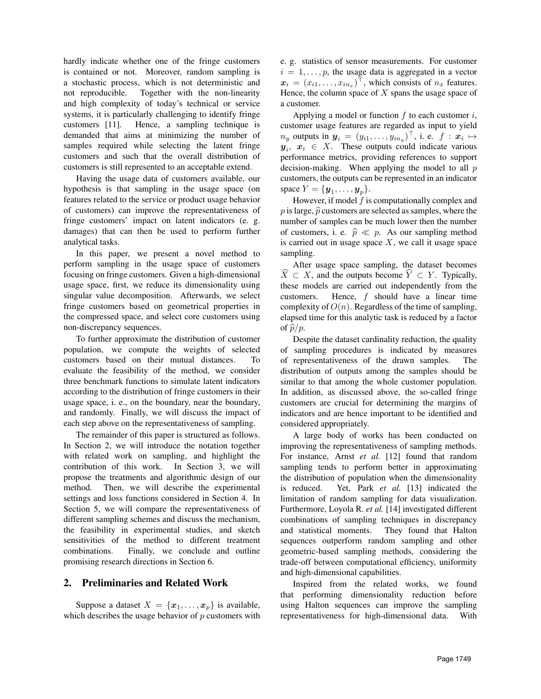hardly indicate whether one of the fringe customers is contained or not. Moreover, random sampling is a stochastic process, which is not deterministic and not reproducible. Together with the non-linearity and high complexity of today's technical or service systems, it is particularly challenging to identify fringe customers [11]. Hence, a sampling technique is demanded that aims at minimizing the number of samples required while selecting the latent fringe customers and such that the overall distribution of customers is still represented to an acceptable extend.

Having the usage data of customers available, our hypothesis is that sampling in the usage space (on features related to the service or product usage behavior of customers) can improve the representativeness of fringe customers' impact on latent indicators (e. g. damages) that can then be used to perform further analytical tasks.

In this paper, we present a novel method to perform sampling in the usage space of customers focusing on fringe customers. Given a high-dimensional usage space, first, we reduce its dimensionality using singular value decomposition. Afterwards, we select fringe customers based on geometrical properties in the compressed space, and select core customers using non-discrepancy sequences.

To further approximate the distribution of customer population, we compute the weights of selected customers based on their mutual distances. To evaluate the feasibility of the method, we consider three benchmark functions to simulate latent indicators according to the distribution of fringe customers in their usage space, i. e., on the boundary, near the boundary, and randomly. Finally, we will discuss the impact of each step above on the representativeness of sampling.

The remainder of this paper is structured as follows. In Section 2, we will introduce the notation together with related work on sampling, and highlight the contribution of this work. In Section 3, we will propose the treatments and algorithmic design of our method. Then, we will describe the experimental settings and loss functions considered in Section 4. In Section 5, we will compare the representativeness of different sampling schemes and discuss the mechanism, the feasibility in experimental studies, and sketch sensitivities of the method to different treatment combinations. Finally, we conclude and outline promising research directions in Section 6.

## 2. Preliminaries and Related Work

Suppose a dataset  $X = \{x_1, \ldots, x_p\}$  is available, which describes the usage behavior of  $p$  customers with e. g. statistics of sensor measurements. For customer  $i = 1, \ldots, p$ , the usage data is aggregated in a vector  $x_i = (x_{i1}, \dots, x_{in_x})^\top$ , which consists of  $n_x$  features. Hence, the column space of  $X$  spans the usage space of a customer.

Applying a model or function  $f$  to each customer  $i$ , customer usage features are regarded as input to yield  $n_y$  outputs in  $\boldsymbol{y}_i = (y_{i1}, \dots, y_{in_y})^\top$ , i. e.  $f : \boldsymbol{x}_i \mapsto$  $y_i, x_i \in X$ . These outputs could indicate various performance metrics, providing references to support decision-making. When applying the model to all  $p$ customers, the outputs can be represented in an indicator space  $Y = \{y_1, \ldots, y_p\}.$ 

However, if model  $f$  is computationally complex and p is large,  $\hat{p}$  customers are selected as samples, where the number of samples can be much lower then the number of customers, i. e.  $\hat{p} \ll p$ . As our sampling method is carried out in usage space  $X$ , we call it usage space sampling.

After usage space sampling, the dataset becomes  $\widehat{X} \subset X$ , and the outputs become  $\widehat{Y} \subset Y$ . Typically, these models are carried out independently from the customers. Hence, f should have a linear time complexity of  $O(n)$ . Regardless of the time of sampling, elapsed time for this analytic task is reduced by a factor of  $\hat{p}/p$ .

Despite the dataset cardinality reduction, the quality of sampling procedures is indicated by measures of representativeness of the drawn samples. The distribution of outputs among the samples should be similar to that among the whole customer population. In addition, as discussed above, the so-called fringe customers are crucial for determining the margins of indicators and are hence important to be identified and considered appropriately.

A large body of works has been conducted on improving the representativeness of sampling methods. For instance, Arnst *et al.* [12] found that random sampling tends to perform better in approximating the distribution of population when the dimensionality is reduced. Yet, Park *et al.* [13] indicated the limitation of random sampling for data visualization. Furthermore, Loyola R. *et al.* [14] investigated different combinations of sampling techniques in discrepancy and statistical moments. They found that Halton sequences outperform random sampling and other geometric-based sampling methods, considering the trade-off between computational efficiency, uniformity and high-dimensional capabilities.

Inspired from the related works, we found that performing dimensionality reduction before using Halton sequences can improve the sampling representativeness for high-dimensional data. With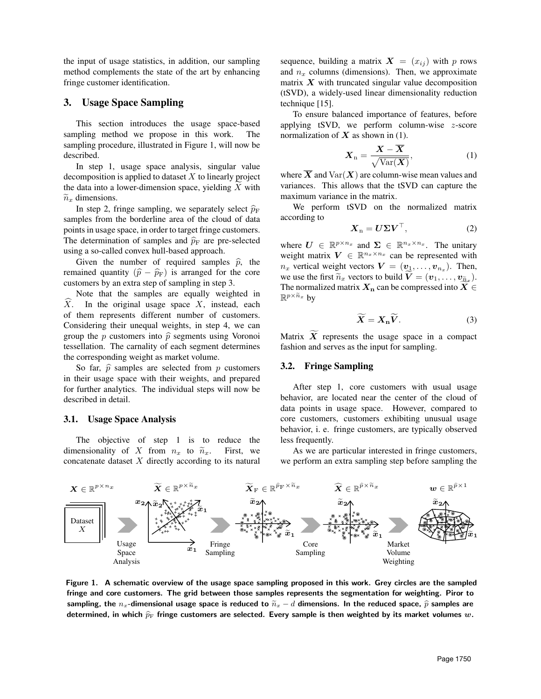the input of usage statistics, in addition, our sampling method complements the state of the art by enhancing fringe customer identification.

## 3. Usage Space Sampling

This section introduces the usage space-based sampling method we propose in this work. The sampling procedure, illustrated in Figure 1, will now be described.

In step 1, usage space analysis, singular value decomposition is applied to dataset  $X$  to linearly project the data into a lower-dimension space, yielding X with  $\tilde{C}$  $\widetilde{n}_x$  dimensions.

In step 2, fringe sampling, we separately select  $\hat{p}_F$ samples from the borderline area of the cloud of data points in usage space, in order to target fringe customers. The determination of samples and  $\hat{p}_F$  are pre-selected using a so-called convex hull-based approach.

Given the number of required samples  $\hat{p}$ , the remained quantity  $(\hat{p} - \hat{p}_F)$  is arranged for the core customers by an extra step of sampling in step 3.

Note that the samples are equally weighted in  $\widehat{X}$ . In the original usage space X, instead, each of them represents different number of customers. Considering their unequal weights, in step 4, we can group the p customers into  $\hat{p}$  segments using Voronoi tessellation. The carnality of each segment determines the corresponding weight as market volume.

So far,  $\hat{p}$  samples are selected from p customers in their usage space with their weights, and prepared for further analytics. The individual steps will now be described in detail.

#### 3.1. Usage Space Analysis

The objective of step 1 is to reduce the dimensionality of X from  $n_x$  to  $\tilde{n}_x$ . First, we concatenate dataset  $X$  directly according to its natural sequence, building a matrix  $X = (x_{ij})$  with p rows and  $n_x$  columns (dimensions). Then, we approximate matrix  $X$  with truncated singular value decomposition (tSVD), a widely-used linear dimensionality reduction technique [15].

To ensure balanced importance of features, before applying tSVD, we perform column-wise  $z$ -score normalization of  $X$  as shown in (1).

$$
\boldsymbol{X}_{\mathrm{n}} = \frac{\boldsymbol{X} - \overline{\boldsymbol{X}}}{\sqrt{\mathrm{Var}(\boldsymbol{X})}},\tag{1}
$$

where  $\overline{X}$  and  $\text{Var}(X)$  are column-wise mean values and variances. This allows that the tSVD can capture the maximum variance in the matrix.

We perform tSVD on the normalized matrix according to

$$
\boldsymbol{X}_{\mathrm{n}} = \boldsymbol{U} \boldsymbol{\Sigma} \boldsymbol{V}^{\top},\tag{2}
$$

where  $U \in \mathbb{R}^{p \times n_x}$  and  $\Sigma \in \mathbb{R}^{n_x \times n_x}$ . The unitary weight matrix  $V \in \mathbb{R}^{n_x \times n_x}$  can be represented with  $n_x$  vertical weight vectors  $\boldsymbol{V} = (\boldsymbol{v}_1, \dots, \boldsymbol{v}_{n_x})$ . Then, we use the first  $\widetilde{n}_x$  vectors to build  $\mathbf{V} = (\mathbf{v}_1, \dots, \mathbf{v}_{\widetilde{n}_x}).$ <br>The normalized matrix  $\mathbf{Y}_e$  can be compressed into  $\widetilde{\mathbf{Y}}_e$ . The normalized matrix  $X_n$  can be compressed into  $X \in$  $\mathbb{R}^{p \times \widetilde{n}_x}$  by

$$
\widetilde{\boldsymbol{X}} = \boldsymbol{X}_{n} \widetilde{\boldsymbol{V}}. \tag{3}
$$

Matrix  $\overline{X}$  represents the usage space in a compact fashion and serves as the input for sampling.

#### 3.2. Fringe Sampling

After step 1, core customers with usual usage behavior, are located near the center of the cloud of data points in usage space. However, compared to core customers, customers exhibiting unusual usage behavior, i. e. fringe customers, are typically observed less frequently.

As we are particular interested in fringe customers, we perform an extra sampling step before sampling the



Figure 1. A schematic overview of the usage space sampling proposed in this work. Grey circles are the sampled fringe and core customers. The grid between those samples represents the segmentation for weighting. Piror to sampling, the n<sub>x</sub>-dimensional usage space is reduced to  $\tilde{n}_x - d$  dimensions. In the reduced space,  $\hat{p}$  samples are determined, in which  $\hat{p}_F$  fringe customers are selected. Every sample is then weighted by its market volumes w.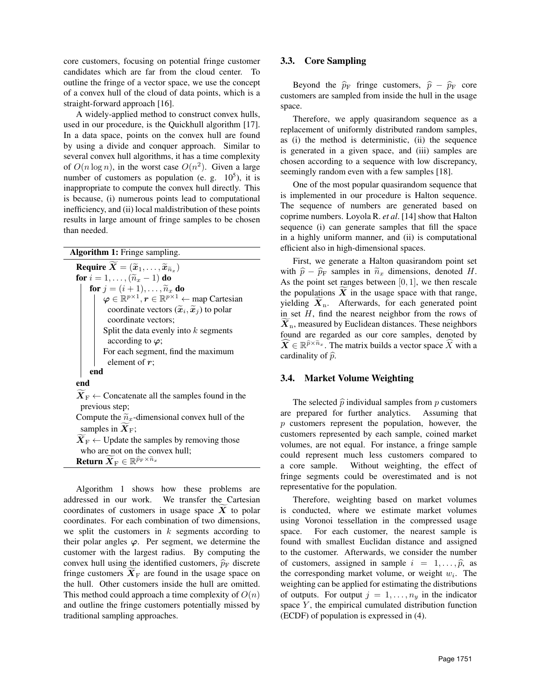core customers, focusing on potential fringe customer candidates which are far from the cloud center. To outline the fringe of a vector space, we use the concept of a convex hull of the cloud of data points, which is a straight-forward approach [16].

A widely-applied method to construct convex hulls, used in our procedure, is the Quickhull algorithm [17]. In a data space, points on the convex hull are found by using a divide and conquer approach. Similar to several convex hull algorithms, it has a time complexity of  $O(n \log n)$ , in the worst case  $O(n^2)$ . Given a large number of customers as population (e. g.  $10^5$ ), it is inappropriate to compute the convex hull directly. This is because, (i) numerous points lead to computational inefficiency, and (ii) local maldistribution of these points results in large amount of fringe samples to be chosen than needed.

|  | Algorithm 1: Fringe sampling. |  |  |  |
|--|-------------------------------|--|--|--|
|--|-------------------------------|--|--|--|

Require  $\boldsymbol{X} = (\widetilde{\boldsymbol{x}}_1, \dots, \widetilde{\boldsymbol{x}}_{\widetilde{n}_x})$ <br>for  $i = 1$   $(\widetilde{\boldsymbol{x}}_i = 1)$  do for  $i = 1, \ldots, (\widetilde{n}_x - 1)$  do for  $j = (i + 1), \ldots, \widetilde{n}_x$  do  $\varphi \in \mathbb{R}^{p \times 1}, r \in \mathbb{R}^{p \times 1} \leftarrow$  map Cartesian coordinate vectors  $(\widetilde{x}_i, \widetilde{x}_j)$  to polar<br>coordinate vectors: coordinate vectors; Split the data evenly into  $k$  segments according to  $\varphi$ ; For each segment, find the maximum element of r; end end  $\widetilde{\mathbf{X}}_{\mathrm{F}} \leftarrow$  Concatenate all the samples found in the previous step; Compute the  $\tilde{n}_x$ -dimensional convex hull of the samples in  $X_F$ ;

 $X_F \leftarrow$  Update the samples by removing those who are not on the convex hull; Return  $\widetilde{\boldsymbol{X}}_{\text{F}} \in \mathbb{R}^{\widehat{p}_{\text{F}} \times \widetilde{n}_{x}}$ 

Algorithm 1 shows how these problems are addressed in our work. We transfer the Cartesian coordinates of customers in usage space  $\overline{X}$  to polar coordinates. For each combination of two dimensions, we split the customers in  $k$  segments according to their polar angles  $\varphi$ . Per segment, we determine the customer with the largest radius. By computing the convex hull using the identified customers,  $\hat{p}_F$  discrete fringe customers  $\mathbf{X}_F$  are found in the usage space on the hull. Other customers inside the hull are omitted. This method could approach a time complexity of  $O(n)$ and outline the fringe customers potentially missed by traditional sampling approaches.

## 3.3. Core Sampling

Beyond the  $\hat{p}_F$  fringe customers,  $\hat{p} - \hat{p}_F$  core customers are sampled from inside the hull in the usage space.

Therefore, we apply quasirandom sequence as a replacement of uniformly distributed random samples, as (i) the method is deterministic, (ii) the sequence is generated in a given space, and (iii) samples are chosen according to a sequence with low discrepancy, seemingly random even with a few samples [18].

One of the most popular quasirandom sequence that is implemented in our procedure is Halton sequence. The sequence of numbers are generated based on coprime numbers. Loyola R. *et al*. [14] show that Halton sequence (i) can generate samples that fill the space in a highly uniform manner, and (ii) is computational efficient also in high-dimensional spaces.

First, we generate a Halton quasirandom point set with  $\hat{p} - \hat{p}_F$  samples in  $\tilde{n}_x$  dimensions, denoted H. As the point set ranges between  $[0, 1]$ , we then rescale the populations  $\widetilde{X}$  in the usage space with that range, yielding  $X_n$ . Afterwards, for each generated point in set  $H$ , find the nearest neighbor from the rows of  $\widetilde{X}_n$ , measured by Euclidean distances. These neighbors found are regarded as our core samples, denoted by  $\widehat{X} \in \mathbb{R}^{\widehat{p} \times \widetilde{n}_x}$ . The matrix builds a vector space  $\widehat{X}$  with a cardinality of  $\hat{p}$ .

### 3.4. Market Volume Weighting

The selected  $\hat{p}$  individual samples from p customers<br>prepared for further analytics. Assuming that are prepared for further analytics. p customers represent the population, however, the customers represented by each sample, coined market volumes, are not equal. For instance, a fringe sample could represent much less customers compared to a core sample. Without weighting, the effect of fringe segments could be overestimated and is not representative for the population.

Therefore, weighting based on market volumes is conducted, where we estimate market volumes using Voronoi tessellation in the compressed usage space. For each customer, the nearest sample is found with smallest Euclidan distance and assigned to the customer. Afterwards, we consider the number of customers, assigned in sample  $i = 1, \ldots, \hat{p}$ , as the corresponding market volume, or weight  $w_i$ . The weighting can be applied for estimating the distributions of outputs. For output  $j = 1, \ldots, n_y$  in the indicator space  $Y$ , the empirical cumulated distribution function (ECDF) of population is expressed in (4).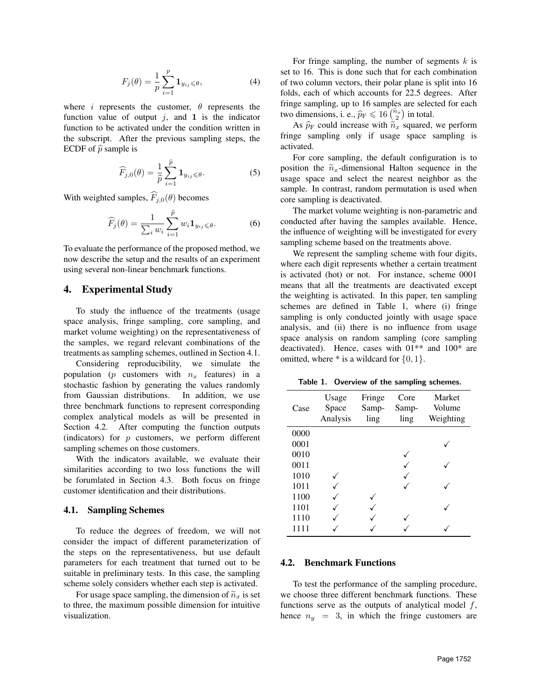$$
F_j(\theta) = \frac{1}{p} \sum_{i=1}^p \mathbf{1}_{y_{ij} \leq \theta},\tag{4}
$$

where i represents the customer,  $\theta$  represents the function value of output  $j$ , and 1 is the indicator function to be activated under the condition written in the subscript. After the previous sampling steps, the ECDF of  $\hat{p}$  sample is

$$
\widehat{F}_{j,0}(\theta) = \frac{1}{\widehat{p}} \sum_{i=1}^{\widehat{p}} \mathbf{1}_{y_{ij} \leq \theta}.
$$
 (5)

With weighted samples,  $\widehat{F}_{j,0}(\theta)$  becomes

$$
\widehat{F}_j(\theta) = \frac{1}{\sum_i w_i} \sum_{i=1}^{\widehat{p}} w_i \mathbf{1}_{y_{ij} \leq \theta}.
$$
 (6)

To evaluate the performance of the proposed method, we now describe the setup and the results of an experiment using several non-linear benchmark functions.

## 4. Experimental Study

To study the influence of the treatments (usage space analysis, fringe sampling, core sampling, and market volume weighting) on the representativeness of the samples, we regard relevant combinations of the treatments as sampling schemes, outlined in Section 4.1.

Considering reproducibility, we simulate the population (p customers with  $n_x$  features) in a stochastic fashion by generating the values randomly from Gaussian distributions. In addition, we use three benchmark functions to represent corresponding complex analytical models as will be presented in Section 4.2. After computing the function outputs (indicators) for  $p$  customers, we perform different sampling schemes on those customers.

With the indicators available, we evaluate their similarities according to two loss functions the will be forumlated in Section 4.3. Both focus on fringe customer identification and their distributions.

#### 4.1. Sampling Schemes

To reduce the degrees of freedom, we will not consider the impact of different parameterization of the steps on the representativeness, but use default parameters for each treatment that turned out to be suitable in preliminary tests. In this case, the sampling scheme solely considers whether each step is activated.

For usage space sampling, the dimension of  $\tilde{n}_x$  is set to three, the maximum possible dimension for intuitive visualization.

For fringe sampling, the number of segments  $k$  is set to 16. This is done such that for each combination of two column vectors, their polar plane is split into 16 folds, each of which accounts for 22.5 degrees. After fringe sampling, up to 16 samples are selected for each two dimensions, i. e.,  $\hat{p}_F \leq 16 \left(\frac{\hat{n}_x}{2}\right)$  in total.

As  $\hat{p}_F$  could increase with  $\tilde{n}_x$  squared, we perform fringe sampling only if usage space sampling is activated.

For core sampling, the default configuration is to position the  $\widetilde{n}_x$ -dimensional Halton sequence in the usage space and select the nearest neighbor as the sample. In contrast, random permutation is used when core sampling is deactivated.

The market volume weighting is non-parametric and conducted after having the samples available. Hence, the influence of weighting will be investigated for every sampling scheme based on the treatments above.

We represent the sampling scheme with four digits, where each digit represents whether a certain treatment is activated (hot) or not. For instance, scheme 0001 means that all the treatments are deactivated except the weighting is activated. In this paper, ten sampling schemes are defined in Table 1, where (i) fringe sampling is only conducted jointly with usage space analysis, and (ii) there is no influence from usage space analysis on random sampling (core sampling deactivated). Hence, cases with 01\*\* and 100\* are omitted, where  $*$  is a wildcard for  $\{0, 1\}$ .

Table 1. Overview of the sampling schemes.

| Case | Usage<br>Space<br>Analysis | Fringe<br>Samp-<br>ling | Core<br>Samp-<br>ling | Market<br>Volume<br>Weighting |
|------|----------------------------|-------------------------|-----------------------|-------------------------------|
| 0000 |                            |                         |                       |                               |
| 0001 |                            |                         |                       |                               |
| 0010 |                            |                         |                       |                               |
| 0011 |                            |                         |                       |                               |
| 1010 |                            |                         |                       |                               |
| 1011 |                            |                         |                       |                               |
| 1100 |                            |                         |                       |                               |
| 1101 |                            |                         |                       |                               |
| 1110 |                            |                         |                       |                               |
| 1111 |                            |                         |                       |                               |

### 4.2. Benchmark Functions

To test the performance of the sampling procedure, we choose three different benchmark functions. These functions serve as the outputs of analytical model  $f$ , hence  $n_y = 3$ , in which the fringe customers are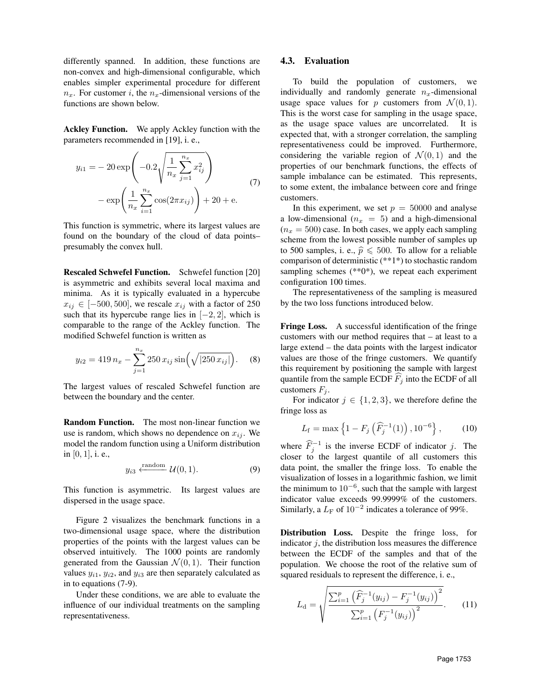differently spanned. In addition, these functions are non-convex and high-dimensional configurable, which enables simpler experimental procedure for different  $n_x$ . For customer i, the  $n_x$ -dimensional versions of the functions are shown below.

Ackley Function. We apply Ackley function with the parameters recommended in [19], i. e.,

$$
y_{i1} = -20 \exp\left(-0.2 \sqrt{\frac{1}{n_x} \sum_{j=1}^{n_x} x_{ij}^2}\right) - \exp\left(\frac{1}{n_x} \sum_{i=1}^{n_x} \cos(2\pi x_{ij})\right) + 20 + e.
$$
 (7)

This function is symmetric, where its largest values are found on the boundary of the cloud of data points– presumably the convex hull.

Rescaled Schwefel Function. Schwefel function [20] is asymmetric and exhibits several local maxima and minima. As it is typically evaluated in a hypercube  $x_{ij} \in [-500, 500]$ , we rescale  $x_{ij}$  with a factor of 250 such that its hypercube range lies in  $[-2, 2]$ , which is comparable to the range of the Ackley function. The modified Schwefel function is written as

$$
y_{i2} = 419 n_x - \sum_{j=1}^{n_x} 250 x_{ij} \sin\left(\sqrt{|250 x_{ij}|}\right). \tag{8}
$$

The largest values of rescaled Schwefel function are between the boundary and the center.

Random Function. The most non-linear function we use is random, which shows no dependence on  $x_{ij}$ . We model the random function using a Uniform distribution in [0, 1], i. e.,

$$
y_{i3} \xleftarrow{\text{random}} \mathcal{U}(0,1). \tag{9}
$$

This function is asymmetric. Its largest values are dispersed in the usage space.

Figure 2 visualizes the benchmark functions in a two-dimensional usage space, where the distribution properties of the points with the largest values can be observed intuitively. The 1000 points are randomly generated from the Gaussian  $\mathcal{N}(0, 1)$ . Their function values  $y_{i1}$ ,  $y_{i2}$ , and  $y_{i3}$  are then separately calculated as in to equations (7-9).

Under these conditions, we are able to evaluate the influence of our individual treatments on the sampling representativeness.

#### 4.3. Evaluation

To build the population of customers, we individually and randomly generate  $n_x$ -dimensional usage space values for p customers from  $\mathcal{N}(0, 1)$ . This is the worst case for sampling in the usage space, as the usage space values are uncorrelated. It is expected that, with a stronger correlation, the sampling representativeness could be improved. Furthermore, considering the variable region of  $\mathcal{N}(0, 1)$  and the properties of our benchmark functions, the effects of sample imbalance can be estimated. This represents, to some extent, the imbalance between core and fringe customers.

In this experiment, we set  $p = 50000$  and analyse a low-dimensional ( $n_x = 5$ ) and a high-dimensional  $(n_x = 500)$  case. In both cases, we apply each sampling scheme from the lowest possible number of samples up to 500 samples, i. e.,  $\hat{p} \le 500$ . To allow for a reliable comparison of deterministic (\*\*1\*) to stochastic random sampling schemes  $(*80*)$ , we repeat each experiment configuration 100 times.

The representativeness of the sampling is measured by the two loss functions introduced below.

Fringe Loss. A successful identification of the fringe customers with our method requires that – at least to a large extend – the data points with the largest indicator values are those of the fringe customers. We quantify this requirement by positioning the sample with largest quantile from the sample ECDF  $F_i$  into the ECDF of all customers  $F_i$ .

For indicator  $j \in \{1, 2, 3\}$ , we therefore define the fringe loss as

$$
L_{\rm f} = \max\left\{1 - F_j\left(\widehat{F}_j^{-1}(1)\right), 10^{-6}\right\},\qquad(10)
$$

where  $\widehat{F}_j^{-1}$  is the inverse ECDF of indicator j. The closer to the largest quantile of all customers this data point, the smaller the fringe loss. To enable the visualization of losses in a logarithmic fashion, we limit the minimum to  $10^{-6}$ , such that the sample with largest indicator value exceeds 99.9999% of the customers. Similarly, a  $L_F$  of  $10^{-2}$  indicates a tolerance of 99%.

Distribution Loss. Despite the fringe loss, for indicator  $j$ , the distribution loss measures the difference between the ECDF of the samples and that of the population. We choose the root of the relative sum of squared residuals to represent the difference, i. e.,

$$
L_{\rm d} = \sqrt{\frac{\sum_{i=1}^{p} \left(\widehat{F}_{j}^{-1}(y_{ij}) - F_{j}^{-1}(y_{ij})\right)^{2}}{\sum_{i=1}^{p} \left(F_{j}^{-1}(y_{ij})\right)^{2}}}. \tag{11}
$$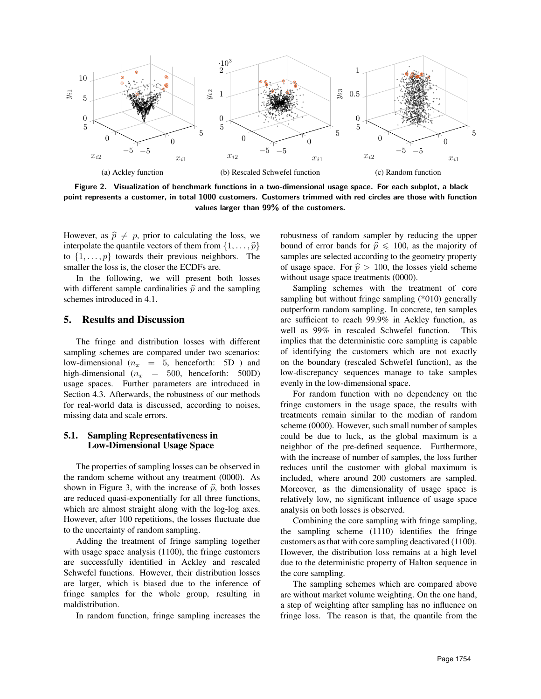

Figure 2. Visualization of benchmark functions in a two-dimensional usage space. For each subplot, a black point represents a customer, in total 1000 customers. Customers trimmed with red circles are those with function values larger than 99% of the customers.

However, as  $\hat{p} \neq p$ , prior to calculating the loss, we interpolate the quantile vectors of them from  $\{1, \ldots, \hat{p}\}$ to  $\{1, \ldots, p\}$  towards their previous neighbors. The smaller the loss is, the closer the ECDFs are.

In the following, we will present both losses with different sample cardinalities  $\hat{p}$  and the sampling schemes introduced in 4.1.

## 5. Results and Discussion

The fringe and distribution losses with different sampling schemes are compared under two scenarios: low-dimensional  $(n_x = 5, \text{ henceforth: } 5D)$  and high-dimensional  $(n_x = 500, \text{ henceforth: } 500D)$ usage spaces. Further parameters are introduced in Section 4.3. Afterwards, the robustness of our methods for real-world data is discussed, according to noises, missing data and scale errors.

#### 5.1. Sampling Representativeness in Low-Dimensional Usage Space

The properties of sampling losses can be observed in the random scheme without any treatment (0000). As shown in Figure 3, with the increase of  $\hat{p}$ , both losses are reduced quasi-exponentially for all three functions, which are almost straight along with the log-log axes. However, after 100 repetitions, the losses fluctuate due to the uncertainty of random sampling.

Adding the treatment of fringe sampling together with usage space analysis (1100), the fringe customers are successfully identified in Ackley and rescaled Schwefel functions. However, their distribution losses are larger, which is biased due to the inference of fringe samples for the whole group, resulting in maldistribution.

In random function, fringe sampling increases the

robustness of random sampler by reducing the upper bound of error bands for  $\hat{p} \le 100$ , as the majority of samples are selected according to the geometry property of usage space. For  $\hat{p} > 100$ , the losses yield scheme without usage space treatments (0000).

Sampling schemes with the treatment of core sampling but without fringe sampling (\*010) generally outperform random sampling. In concrete, ten samples are sufficient to reach 99.9% in Ackley function, as well as 99% in rescaled Schwefel function. This implies that the deterministic core sampling is capable of identifying the customers which are not exactly on the boundary (rescaled Schwefel function), as the low-discrepancy sequences manage to take samples evenly in the low-dimensional space.

For random function with no dependency on the fringe customers in the usage space, the results with treatments remain similar to the median of random scheme (0000). However, such small number of samples could be due to luck, as the global maximum is a neighbor of the pre-defined sequence. Furthermore, with the increase of number of samples, the loss further reduces until the customer with global maximum is included, where around 200 customers are sampled. Moreover, as the dimensionality of usage space is relatively low, no significant influence of usage space analysis on both losses is observed.

Combining the core sampling with fringe sampling, the sampling scheme (1110) identifies the fringe customers as that with core sampling deactivated (1100). However, the distribution loss remains at a high level due to the deterministic property of Halton sequence in the core sampling.

The sampling schemes which are compared above are without market volume weighting. On the one hand, a step of weighting after sampling has no influence on fringe loss. The reason is that, the quantile from the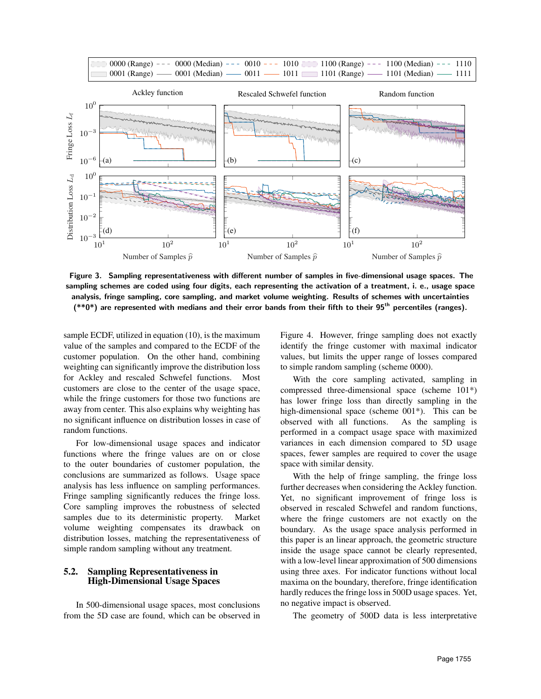

Figure 3. Sampling representativeness with different number of samples in five-dimensional usage spaces. The sampling schemes are coded using four digits, each representing the activation of a treatment, i. e., usage space analysis, fringe sampling, core sampling, and market volume weighting. Results of schemes with uncertainties  $(*0*)$  are represented with medians and their error bands from their fifth to their  $95<sup>th</sup>$  percentiles (ranges).

sample ECDF, utilized in equation (10), is the maximum value of the samples and compared to the ECDF of the customer population. On the other hand, combining weighting can significantly improve the distribution loss for Ackley and rescaled Schwefel functions. Most customers are close to the center of the usage space, while the fringe customers for those two functions are away from center. This also explains why weighting has no significant influence on distribution losses in case of random functions.

For low-dimensional usage spaces and indicator functions where the fringe values are on or close to the outer boundaries of customer population, the conclusions are summarized as follows. Usage space analysis has less influence on sampling performances. Fringe sampling significantly reduces the fringe loss. Core sampling improves the robustness of selected samples due to its deterministic property. Market volume weighting compensates its drawback on distribution losses, matching the representativeness of simple random sampling without any treatment.

## 5.2. Sampling Representativeness in High-Dimensional Usage Spaces

In 500-dimensional usage spaces, most conclusions from the 5D case are found, which can be observed in

Figure 4. However, fringe sampling does not exactly identify the fringe customer with maximal indicator values, but limits the upper range of losses compared to simple random sampling (scheme 0000).

With the core sampling activated, sampling in compressed three-dimensional space (scheme 101\*) has lower fringe loss than directly sampling in the high-dimensional space (scheme 001\*). This can be observed with all functions. As the sampling is performed in a compact usage space with maximized variances in each dimension compared to 5D usage spaces, fewer samples are required to cover the usage space with similar density.

With the help of fringe sampling, the fringe loss further decreases when considering the Ackley function. Yet, no significant improvement of fringe loss is observed in rescaled Schwefel and random functions, where the fringe customers are not exactly on the boundary. As the usage space analysis performed in this paper is an linear approach, the geometric structure inside the usage space cannot be clearly represented, with a low-level linear approximation of 500 dimensions using three axes. For indicator functions without local maxima on the boundary, therefore, fringe identification hardly reduces the fringe loss in 500D usage spaces. Yet, no negative impact is observed.

The geometry of 500D data is less interpretative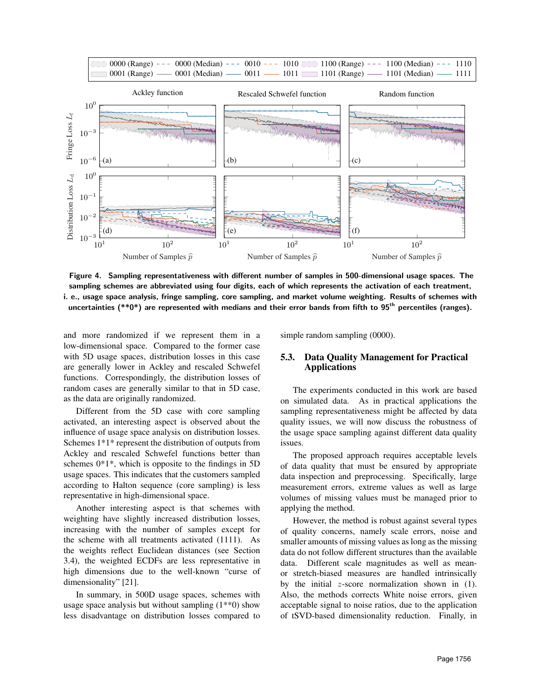

Figure 4. Sampling representativeness with different number of samples in 500-dimensional usage spaces. The sampling schemes are abbreviated using four digits, each of which represents the activation of each treatment, i. e., usage space analysis, fringe sampling, core sampling, and market volume weighting. Results of schemes with uncertainties  $(**0*)$  are represented with medians and their error bands from fifth to 95<sup>th</sup> percentiles (ranges).

and more randomized if we represent them in a low-dimensional space. Compared to the former case with 5D usage spaces, distribution losses in this case are generally lower in Ackley and rescaled Schwefel functions. Correspondingly, the distribution losses of random cases are generally similar to that in 5D case, as the data are originally randomized.

Different from the 5D case with core sampling activated, an interesting aspect is observed about the influence of usage space analysis on distribution losses. Schemes 1\*1\* represent the distribution of outputs from Ackley and rescaled Schwefel functions better than schemes  $0*1*$ , which is opposite to the findings in 5D usage spaces. This indicates that the customers sampled according to Halton sequence (core sampling) is less representative in high-dimensional space.

Another interesting aspect is that schemes with weighting have slightly increased distribution losses, increasing with the number of samples except for the scheme with all treatments activated (1111). As the weights reflect Euclidean distances (see Section 3.4), the weighted ECDFs are less representative in high dimensions due to the well-known "curse of dimensionality" [21].

In summary, in 500D usage spaces, schemes with usage space analysis but without sampling  $(1^{**}0)$  show less disadvantage on distribution losses compared to simple random sampling (0000).

#### 5.3. Data Quality Management for Practical Applications

The experiments conducted in this work are based on simulated data. As in practical applications the sampling representativeness might be affected by data quality issues, we will now discuss the robustness of the usage space sampling against different data quality issues.

The proposed approach requires acceptable levels of data quality that must be ensured by appropriate data inspection and preprocessing. Specifically, large measurement errors, extreme values as well as large volumes of missing values must be managed prior to applying the method.

However, the method is robust against several types of quality concerns, namely scale errors, noise and smaller amounts of missing values as long as the missing data do not follow different structures than the available data. Different scale magnitudes as well as meanor stretch-biased measures are handled intrinsically by the initial  $z$ -score normalization shown in  $(1)$ . Also, the methods corrects White noise errors, given acceptable signal to noise ratios, due to the application of tSVD-based dimensionality reduction. Finally, in